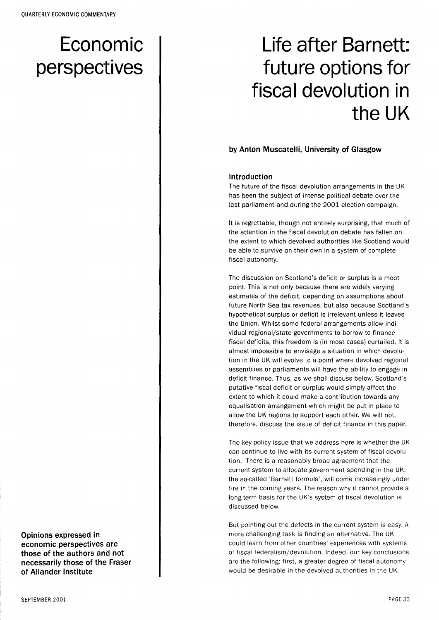# Economic perspectives

# Life after Barnett: future options for fiscal devolution in the UK

#### by Anton Muscatelli, University of Glasgow

#### Introduction

The future of the fiscal devolution arrangements in the UK has been the subject of intense political debate over the last parliament and during the 2001 election campaign.

It is regrettable, though not entirely surprising, that much of the attention in the fiscal devolution debate has fallen on the extent to which devolved authorities like Scotland would be able to survive on their own in a system of complete fiscal autonomy.

The discussion on Scotland's deficit or surplus is a moot point. This is not only because there are widely varying estimates of the deficit, depending on assumptions about future North Sea tax revenues, but also because Scotland's hypothetical surplus or deficit is irrelevant unless it leaves the Union. Whilst some federal arrangements allow individual regional/state governments to borrow to finance fiscal deficits, this freedom is (in most cases) curtailed. It is almost impossible to envisage a situation in which devolution in the UK will evolve to a point where devolved regional assemblies or parliaments will have the ability to engage in deficit finance. Thus, as we shall discuss below, Scotland's putative fiscal deficit or surplus would simply affect the extent to which it could make a contribution towards any equalisation arrangement which might be put in place to allow the UK regions to support each other. We will not, therefore, discuss the issue of deficit finance in this paper.

The key policy issue that we address here is whether the UK can continue to live with its current system of fiscal devolution. There is a reasonably broad agreement that the current system to allocate government spending in the UK, the so-called 'Barnett formula', will come increasingly under fire in the coming years. The reason why it cannot provide a long-term basis for the UK's system of fiscal devolution is discussed below.

But pointing out the defects in the current system is easy. A more challenging task is finding an alternative. The UK could learn from other countries' experiences with systems of fiscal federalism/devolution. Indeed, our key conclusions are the following: first, a greater degree of fiscal autonomy would be desirable in the devolved authorities in the UK.

Opinions expressed in economic perspectives are those of the authors and not necessarily those of the Fraser of Allander Institute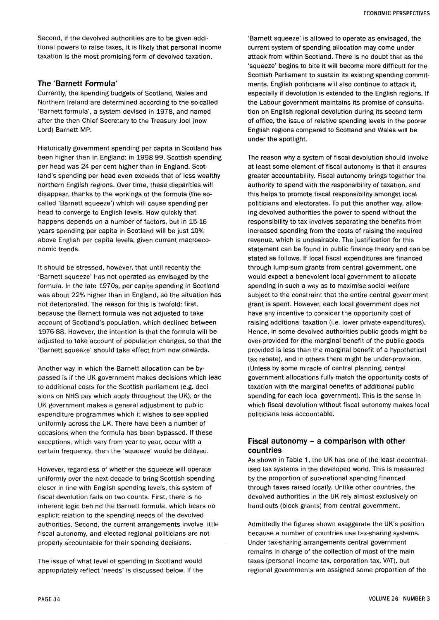Second, if the devolved authorities are to be given additional powers to raise taxes, it is likely that personal income taxation is the most promising form of devolved taxation.

### The 'Barnett Formula'

Currently, the spending budgets of Scotland, Wales and Northern Ireland are determined according to the so-called 'Barnett formula', a system devised in 1978, and named after the then Chief Secretary to the Treasury Joel (now Lord) Barnett MP.

Historically government spending per capita in Scotland has been higher than in England: in 1998-99 , Scottish spending per head was 24 per cent higher than in England. Scotland's spending per head even exceeds that of less wealthy northern English regions. Over time, these disparities will disappear, thanks to the workings of the formula (the socalled 'Barnett squeeze') which will cause spending per head to converge to English levels. How quickly that happens depends on a number of factors, but in 15-16 years spending per capita in Scotland will be just 10% above English per capita levels, given current macroeconomic trends.

It should be stressed, however, that until recently the 'Barnett squeeze' has not operated as envisaged by the formula. In the late 1970s, per capita spending in Scotland was about 22% higher than in England, so the situation has not deteriorated. The reason for this is twofold: first, because the Barnett formula was not adjusted to take account of Scotland's population, which declined between 1976-88. However, the intention is that the formula will be adjusted to take account of population changes, so that the 'Barnett squeeze' should take effect from now onwards.

Another way in which the Barnett allocation can be bypassed is if the UK government makes decisions which lead to additional costs for the Scottish parliament (e.g. decisions on NHS pay which apply throughout the UK), or the UK government makes a general adjustment to public expenditure programmes which it wishes to see applied uniformly across the UK. There have been a number of occasions when the formula has been bypassed. If these exceptions, which vary from year to year, occur with a certain frequency, then the 'squeeze' would be delayed.

However, regardless of whether the squeeze will operate uniformly over the next decade to bring Scottish spending closer in line with English spending levels, this system of fiscal devolution fails on two counts. First, there is no inherent logic behind the Barnett formula, which bears no explicit relation to the spending needs of the devolved authorities. Second, the current arrangements involve little fiscal autonomy, and elected regional politicians are not properly accountable for their spending decisions.

The issue of what level of spending in Scotland would appropriately reflect 'needs' is discussed below. If the

'Barnett squeeze' is allowed to operate as envisaged, the current system of spending allocation may come under attack from within Scotland. There is no doubt that as the 'squeeze' begins to bite it will become more difficult for the Scottish Parliament to sustain its existing spending commitments. English politicians will also continue to attack it, especially if devolution is extended to the English regions. If the Labour government maintains its promise of consultation on English regional devolution during its second term of office, the issue of relative spending levels in the poorer English regions compared to Scotland and Wales will be under the spotlight.

The reason why a system of fiscal devolution should involve at least some element of fiscal autonomy is that it ensures greater accountability. Fiscal autonomy brings together the authority to spend with the responsibility of taxation, and this helps to promote fiscal responsibility amongst local politicians and electorates. To put this another way, allowing devolved authorities the power to spend without the responsibility to tax involves separating the benefits from increased spending from the costs of raising the required revenue, which is undesirable. The justification for this statement can be found in public finance theory and can be stated as follows. If local fiscal expenditures are financed through lump-sum grants from central government, one would expect a benevolent local government to allocate spending in such a way as to maximise social welfare subject to the constraint that the entire central government grant is spent. However, each local government does not have any incentive to consider the opportunity cost of raising additional taxation (i.e. lower private expenditures). Hence, in some devolved authorities public goods might be over-provided for (the marginal benefit of the public goods provided is less than the marginal benefit of a hypothetical tax rebate), and in others there might be under-provision. (Unless by some miracle of central planning, central government allocations fully match the opportunity costs of taxation with the marginal benefits of additional public spending for each local government). This is the sense in which fiscal devolution without fiscal autonomy makes local politicians less accountable.

## Fiscal autonomy - a comparison with other countries

As shown in Table 1, the UK has one of the least decentralised tax systems in the developed world. This is measured by the proportion of sub-national spending financed through taxes raised locally. Unlike other countries, the devolved authorities in the UK rely almost exclusively on hand-outs (block grants) from central government.

Admittedly the figures shown exaggerate the UK's position because a number of countries use tax-sharing systems. Under tax-sharing arrangements central government remains in charge of the collection of most of the main taxes (personal income tax, corporation tax, VAT), but regional governments are assigned some proportion of the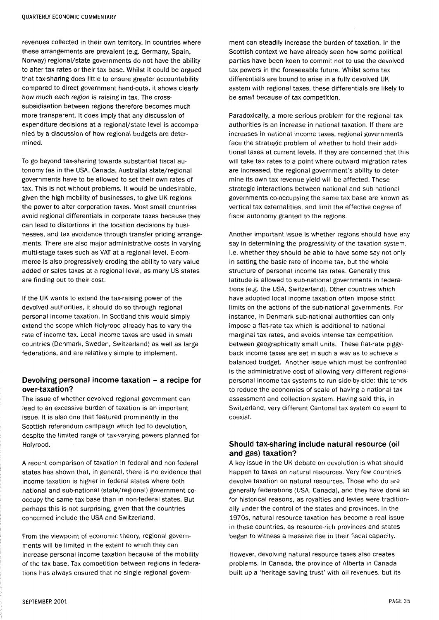revenues collected in their own territory. In countries where these arrangements are prevalent (e.g. Germany, Spain, Norway) regional/state governments do not have the ability to alter tax rates or their tax base. Whilst it could be argued that tax-sharing does little to ensure greater accountability compared to direct government hand-outs, it shows clearly how much each region is raising in tax. The crosssubsidisation between regions therefore becomes much more transparent. It does imply that any discussion of expenditure decisions at a regional/state level is accompanied by a discussion of how regional budgets are determined.

To go beyond tax-sharing towards substantial fiscal autonomy (as in the USA, Canada, Australia) state/regional governments have to be allowed to set their own rates of tax. This is not without problems. It would be undesirable, given the high mobility of businesses, to give UK regions the power to alter corporation taxes. Most small countries avoid regional differentials in corporate taxes because they can lead to distortions in the location decisions by businesses, and tax avoidance through transfer pricing arrangements. There are also major administrative costs in varying multi-stage taxes such as VAT at a regional level. E-commerce is also progressively eroding the ability to vary value added or sales taxes at a regional level, as many US states are finding out to their cost.

If the UK wants to extend the tax-raising power of the devolved authorities, it should do so through regional personal income taxation. In Scotland this would simply extend the scope which Holyrood already has to vary the rate of income tax. Local income taxes are used in small countries (Denmark, Sweden, Switzerland) as well as large federations, and are relatively simple to implement.

# Devolving personal income taxation - a recipe for over-taxation?

The issue of whether devolved regional government can lead to an excessive burden of taxation is an important issue. It is also one that featured prominently in the Scottish referendum campaign which led to devolution, despite the limited range of tax-varying powers planned for Holyrood.

A recent comparison of taxation in federal and non-federal states has shown that, in general, there is no evidence that income taxation is higher in federal states where both national and sub-national (state/regional) government cooccupy the same tax base than in non-federal states. But perhaps this is not surprising, given that the countries concerned include the USA and Switzerland.

From the viewpoint of economic theory, regional governments will be limited in the extent to which they can increase personal income taxation because of the mobility of the tax base. Tax competition between regions in federations has always ensured that no single regional govern-

ment can steadily increase the burden of taxation. In the Scottish context we have already seen how some political parties have been keen to commit not to use the devolved tax powers in the foreseeable future. Whilst some tax differentials are bound to arise in a fully devolved UK system with regional taxes, these differentials are likely to be small because of tax competition.

Paradoxically, a more serious problem for the regional tax authorities is an increase in national taxation. If there are increases in national income taxes, regional governments face the strategic problem of whether to hold their additional taxes at current levels. If they are concerned that this will take tax rates to a point where outward migration rates are increased, the regional government's ability to determine its own tax revenue yield will be affected. These strategic interactions between national and sub-national governments co-occupying the same tax base are known as vertical tax externalities, and limit the effective degree of fiscal autonomy granted to the regions.

Another important issue is whether regions should have any say in determining the progressivity of the taxation system, i.e. whether they should be able to have some say not only in setting the basic rate of income tax, but the whole structure of personal income tax rates. Generally this latitude is allowed to sub-national governments in federations (e.g. the USA, Switzerland). Other countries which have adopted local income taxation often impose strict limits on the actions of the sub-national governments. For instance, in Denmark sub-national authorities can only impose a flat-rate tax which is additional to national marginal tax rates, and avoids intense tax competition between geographically small units. These flat-rate piggyback income taxes are set in such a way as to achieve a balanced budget. Another issue which must be confronted is the administrative cost of allowing very different regional personal income tax systems to run side-by-side: this tends to reduce the economies of scale of having a national tax assessment and collection system. Having said this, in Switzerland, very different Cantonal tax system do seem to coexist.

## Should tax-sharing include natural resource (oil and gas) taxation?

A key issue in the UK debate on devolution is what should happen to taxes on natural resources. Very few countries devolve taxation on natural resources. Those who do are generally federations (USA, Canada), and they have done so for historical reasons, as royalties and levies were traditionally under the control of the states and provinces. In the 1970s, natural resource taxation has become a real issue in these countries, as resource-rich provinces and states began to witness a massive rise in their fiscal capacity.

However, devolving natural resource taxes also creates problems. In Canada, the province of Alberta in Canada built up a 'heritage saving trust' with oil revenues, but its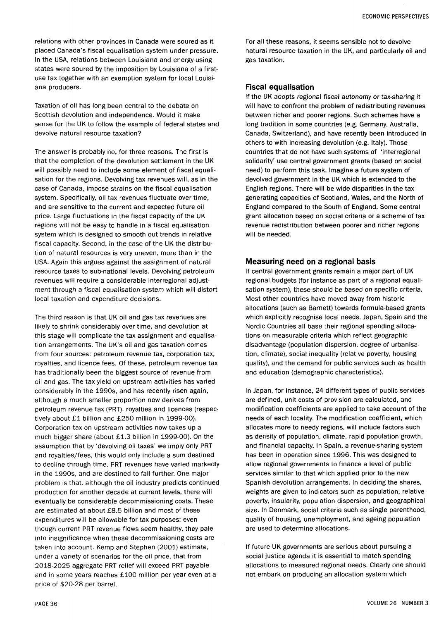Taxation of oil has long been central to the debate on Scottish devolution and independence. Would it make sense for the UK to follow the example of federal states and devolve natural resource taxation?

The answer is probably no, for three reasons. The first is that the completion of the devolution settlement in the UK will possibly need to include some element of fiscal equalisation for the regions. Devolving tax revenues will, as in the case of Canada, impose strains on the fiscal equalisation system. Specifically, oil tax revenues fluctuate over time, and are sensitive to the current and expected future oil price. Large fluctuations in the fiscal capacity of the UK regions will not be easy to handle in a fiscal equalisation system which is designed to smooth out trends in relative fiscal capacity. Second, in the case of the UK the distribution of natural resources is very uneven, more than in the USA. Again this argues against the assignment of natural resource taxes to sub-national levels. Devolving petroleum revenues will require a considerable interregional adjustment through a fiscal equalisation system which will distort local taxation and expenditure decisions.

The third reason is that UK oil and gas tax revenues are likely to shrink considerably over time, and devolution at this stage will complicate the tax assignment and equalisation arrangements. The UK's oil and gas taxation comes from four sources: petroleum revenue tax, corporation tax, royalties, and licence fees. Of these, petroleum revenue tax has traditionally been the biggest source of revenue from oil and gas. The tax yield on upstream activities has varied considerably in the 1990s, and has recently risen again, although a much smaller proportion now derives from petroleum revenue tax (PRT), royalties and licences (respectively about £1 billion and £250 million in 1999-00). Corporation tax on upstream activities now takes up a much bigger share (about £1. 3 billion in 1999-00). On the assumption that by 'devolving oil taxes' we imply only PRT and royalties/fees, this would only include a sum destined to decline through time. PRT revenues have varied markedly in the 1990s, and are destined to fall further. One major problem is that, although the oil industry predicts continued production for another decade at current levels, there will eventually be considerable decommissioning costs. These are estimated at about £8.5 billion and most of these expenditures will be allowable for tax purposes: even though current PRT revenue flows seem healthy, they pale into insignificance when these decommissioning costs are taken into account. Kemp and Stephen (2001) estimate, under a variety of scenarios for the oil price, that from 2018-2025 aggregate PRT relief will exceed PRT payable and in some years reaches £100 million per year even at a price of \$20-28 per barrel.

For all these reasons, it seems sensible not to devolve natural resource taxation in the UK, and particularly oil and gas taxation.

### Fiscal equalisation

If the UK adopts regional fiscal autonomy or tax-sharing it will have to confront the problem of redistributing revenues between richer and poorer regions. Such schemes have a long tradition in some countries (e.g. Germany, Australia, Canada, Switzerland), and have recently been introduced in others to with increasing devolution (e.g. Italy). Those countries that do not have such systems of 'interregional solidarity' use central government grants (based on social need) to perform this task. Imagine a future system of devolved government in the UK which is extended to the English regions. There will be wide disparities in the tax generating capacities of Scotland, Wales, and the North of England compared to the South of England. Some central grant allocation based on social criteria or a scheme of tax revenue redistribution between poorer and richer regions will be needed.

# Measuring need on a regional basis

If central government grants remain a major part of UK regional budgets (for instance as part of a regional equalisation system), these should be based on specific criteria. Most other countries have moved away from historic allocations (such as Barnett) towards formula-based grants which explicitly recognise local needs. Japan, Spain and the Nordic Countries all base their regional spending allocations on measurable criteria which reflect geographic disadvantage (population dispersion, degree of urbanisation, climate), social inequality (relative poverty, housing quality), and the demand for public services such as health and education (demographic characteristics).

In Japan, for instance, 24 different types of public services are defined, unit costs of provision are calculated, and modification coefficients are applied to take account of the needs of each locality. The modification coefficient, which allocates more to needy regions, will include factors such as density of population, climate, rapid population growth, and financial capacity. In Spain, a revenue-sharing system has been in operation since 1996. This was designed to allow regional governments to finance a level of public services similar to that which applied prior to the new Spanish devolution arrangements. In deciding the shares, weights are given to indicators such as population, relative poverty, insularity, population dispersion, and geographical size. In Denmark, social criteria such as single parenthood, quality of housing, unemployment, and ageing population are used to determine allocations.

If future UK governments are serious about pursuing a social justice agenda it is essential to match spending allocations to measured regional needs. Clearly one should not embark on producing an allocation system which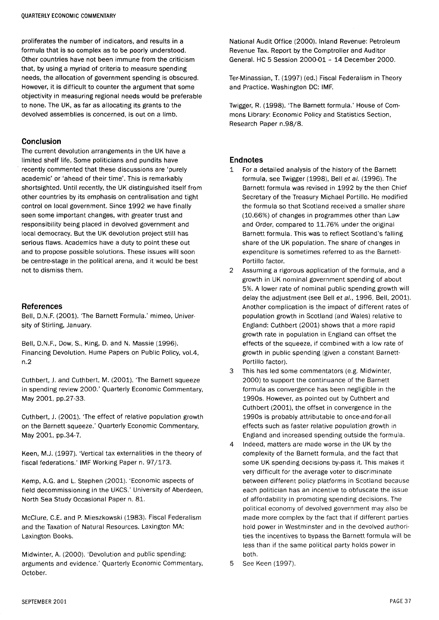proliferates the number of indicators, and results in a formula that is so complex as to be poorly understood. Other countries have not been immune from the criticism that, by using a myriad of criteria to measure spending needs, the allocation of government spending is obscured. However, it is difficult to counter the argument that some objectivity in measuring regional needs would be preferable to none. The UK, as far as allocating its grants to the devolved assemblies is concerned, is out on a limb.

# Conclusion

The current devolution arrangements in the UK have a limited shelf life. Some politicians and pundits have recently commented that these discussions are 'purely academic' or 'ahead of their time'. This is remarkably shortsighted. Until recently, the UK distinguished itself from other countries by its emphasis on centralisation and tight control on local government. Since 1992 we have finally seen some important changes, with greater trust and responsibility being placed in devolved government and local democracy. But the UK devolution project still has serious flaws. Academics have a duty to point these out and to propose possible solutions. These issues will soon be centre-stage in the political arena, and it would be best not to dismiss them.

#### References

Bell, D.N.F. (2001). The Barnett Formula.' mimeo, University of Stirling, January.

Bell, D.N.F., Dow, S., King, D. and N. Massie (1996). Financing Devolution. Hume Papers on Public Policy, vol.4, n.2

Cuthbert, J. and Cuthbert, M. (2001). 'The Barnett squeeze in spending review 2000.' Quarterly Economic Commentary, May 2001, pp.27-33.

Cuthbert, J. (2001). 'The effect of relative population growth on the Barnett squeeze.' Quarterly Economic Commentary, May 2001, pp.34-7.

Keen, M.J. (1997). 'Vertical tax externalities in the theory of fiscal federations.' IMF Working Paper n. 97/173.

Kemp, A.G. and L. Stephen (2001). 'Economic aspects of field decommissioning in the UKCS.' University of Aberdeen, North Sea Study Occasional Paper n. 81.

McClure, C.E. and P. Mieszkowski (1983). Fiscal Federalism and the Taxation of Natural Resources. Laxington MA: Laxington Books.

Midwinter, A. (2000). 'Devolution and public spending: arguments and evidence.' Quarterly Economic Commentary, October.

National Audit Office (2000). Inland Revenue: Petroleum Revenue Tax. Report by the Comptroller and Auditor General. HC 5 Session 2000-01 - 14 December 2000.

Ter-Minassian, T. (1997) (ed.) Fiscal Federalism in Theory and Practice. Washington DC: IMF.

Twigger, R. (1998). 'The Barnett formula.' House of Commons Library: Economic Policy and Statistics Section, Research Paper n.98/8.

#### **Endnotes**

- 1 For a detailed analysis of the history of the Barnett formula, see Twigger (1998), Bell et a/. (1996). The Barnett formula was revised in 1992 by the then Chief Secretary of the Treasury Michael Portillo. He modified the formula so that Scotland received a smaller share (10.66%) of changes in programmes other than Law and Order, compared to 11.76% under the original Barnett formula. This was to reflect Scotland's falling share of the UK population. The share of changes in expenditure is sometimes referred to as the Barnett-Portillo factor.
- 2 Assuming a rigorous application of the formula, and a growth in UK nominal government spending of about 5%. A lower rate of nominal public spending growth will delay the adjustment (see Bell et al., 1996, Bell, 2001). Another complication is the impact of different rates of population growth in Scotland (and Wales) relative to England: Cuthbert (2001) shows that a more rapid growth rate in population in England can offset the effects of the squeeze, if combined with a low rate of growth in public spending (given a constant Barnett-Portillo factor).
- 3 This has led some commentators (e.g. Midwinter, 2000) to support the continuance of the Barnett formula as convergence has been negligible in the 1990s. However, as pointed out by Cuthbert and Cuthbert (2001), the offset in convergence in the 1990s is probably attributable to once-and-for-all effects such as faster relative population growth in England and increased spending outside the formula.
- 4 Indeed, matters are made worse in the UK by the complexity of the Barnett formula, and the fact that some UK spending decisions by-pass it. This makes it very difficult for the average voter to discriminate between different policy platforms in Scotland because each politician has an incentive to obfuscate the issue of affordability in promoting spending decisions. The political economy of devolved government may also be made more complex by the fact that if different parties hold power in Westminster and in the devolved authorities the incentives to bypass the Barnett formula will be less than if the same political party holds power in both.
- 5 See Keen (1997).